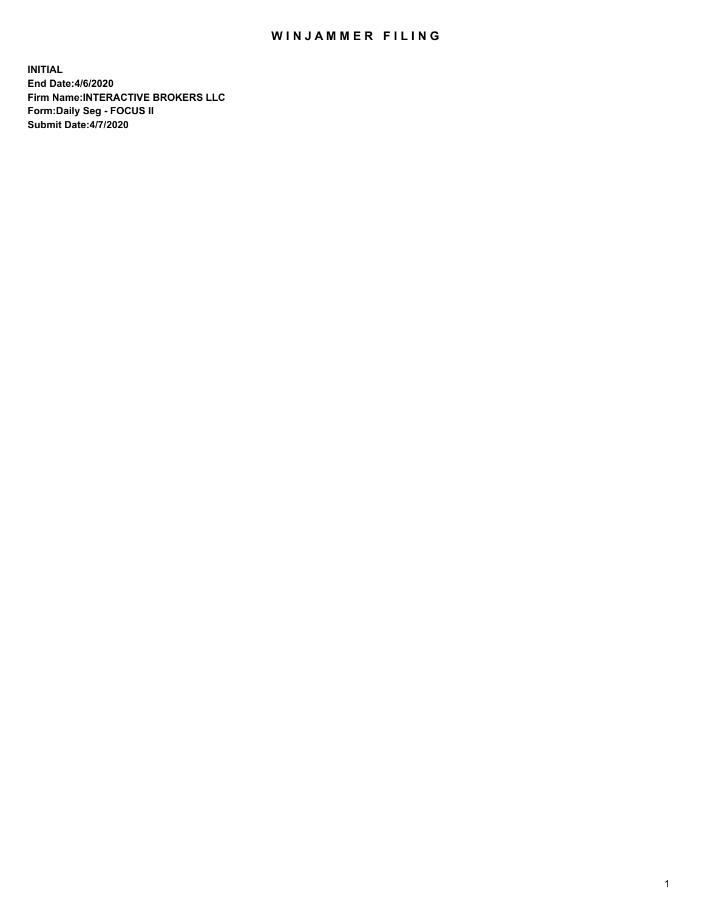## WIN JAMMER FILING

**INITIAL End Date:4/6/2020 Firm Name:INTERACTIVE BROKERS LLC Form:Daily Seg - FOCUS II Submit Date:4/7/2020**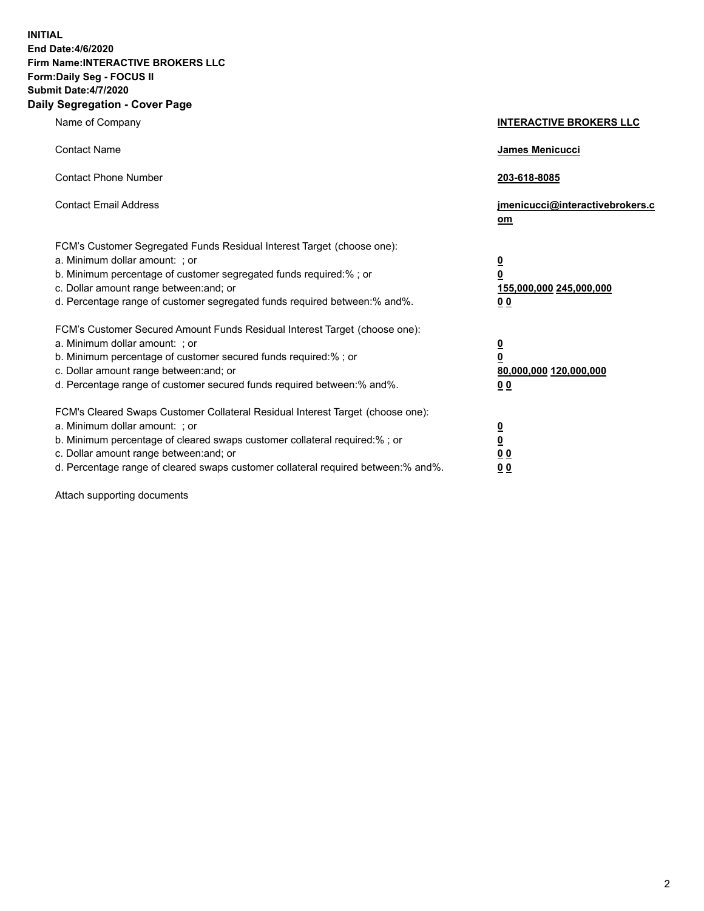**INITIAL End Date:4/6/2020 Firm Name:INTERACTIVE BROKERS LLC Form:Daily Seg - FOCUS II Submit Date:4/7/2020 Daily Segregation - Cover Page**

| Name of Company                                                                                                                                                                                                                                                                                                               | <b>INTERACTIVE BROKERS LLC</b>                                                             |
|-------------------------------------------------------------------------------------------------------------------------------------------------------------------------------------------------------------------------------------------------------------------------------------------------------------------------------|--------------------------------------------------------------------------------------------|
| <b>Contact Name</b>                                                                                                                                                                                                                                                                                                           | <b>James Menicucci</b>                                                                     |
| <b>Contact Phone Number</b>                                                                                                                                                                                                                                                                                                   | 203-618-8085                                                                               |
| <b>Contact Email Address</b>                                                                                                                                                                                                                                                                                                  | jmenicucci@interactivebrokers.c<br>om                                                      |
| FCM's Customer Segregated Funds Residual Interest Target (choose one):<br>a. Minimum dollar amount: : or<br>b. Minimum percentage of customer segregated funds required:% ; or<br>c. Dollar amount range between: and; or<br>d. Percentage range of customer segregated funds required between:% and%.                        | $\overline{\mathbf{0}}$<br>0<br>155,000,000 245,000,000<br><u>00</u>                       |
| FCM's Customer Secured Amount Funds Residual Interest Target (choose one):<br>a. Minimum dollar amount: ; or<br>b. Minimum percentage of customer secured funds required:% ; or<br>c. Dollar amount range between: and; or<br>d. Percentage range of customer secured funds required between:% and%.                          | $\overline{\mathbf{0}}$<br>$\overline{\mathbf{0}}$<br>80,000,000 120,000,000<br><u>0 0</u> |
| FCM's Cleared Swaps Customer Collateral Residual Interest Target (choose one):<br>a. Minimum dollar amount: ; or<br>b. Minimum percentage of cleared swaps customer collateral required:%; or<br>c. Dollar amount range between: and; or<br>d. Percentage range of cleared swaps customer collateral required between:% and%. | $\frac{0}{0}$<br>0 <sub>0</sub><br>0 <sub>0</sub>                                          |

Attach supporting documents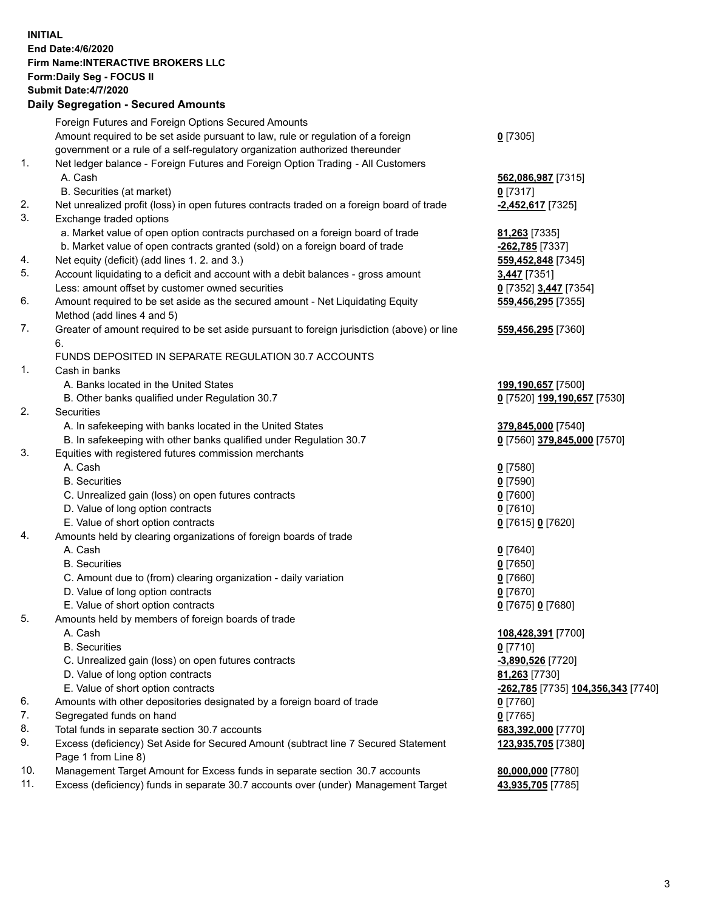## **INITIAL End Date:4/6/2020 Firm Name:INTERACTIVE BROKERS LLC Form:Daily Seg - FOCUS II Submit Date:4/7/2020 Daily Segregation - Secured Amounts**

|     | <u>ovgrvgation ovodrod Annount</u>                                                                         |                                                          |
|-----|------------------------------------------------------------------------------------------------------------|----------------------------------------------------------|
|     | Foreign Futures and Foreign Options Secured Amounts                                                        |                                                          |
|     | Amount required to be set aside pursuant to law, rule or regulation of a foreign                           | $0$ [7305]                                               |
|     | government or a rule of a self-regulatory organization authorized thereunder                               |                                                          |
| 1.  | Net ledger balance - Foreign Futures and Foreign Option Trading - All Customers                            |                                                          |
|     | A. Cash                                                                                                    | 562,086,987 [7315]                                       |
|     | B. Securities (at market)                                                                                  | $0$ [7317]                                               |
| 2.  | Net unrealized profit (loss) in open futures contracts traded on a foreign board of trade                  | -2,452,617 [7325]                                        |
| 3.  | Exchange traded options                                                                                    |                                                          |
|     | a. Market value of open option contracts purchased on a foreign board of trade                             | 81,263 [7335]                                            |
|     | b. Market value of open contracts granted (sold) on a foreign board of trade                               | -262,785 [7337]                                          |
| 4.  | Net equity (deficit) (add lines 1. 2. and 3.)                                                              | 559,452,848 [7345]                                       |
| 5.  | Account liquidating to a deficit and account with a debit balances - gross amount                          | <b>3,447</b> [7351]                                      |
|     | Less: amount offset by customer owned securities                                                           | 0 [7352] 3,447 [7354]                                    |
| 6.  | Amount required to be set aside as the secured amount - Net Liquidating Equity                             | 559,456,295 [7355]                                       |
|     | Method (add lines 4 and 5)                                                                                 |                                                          |
| 7.  | Greater of amount required to be set aside pursuant to foreign jurisdiction (above) or line                | 559,456,295 [7360]                                       |
|     | 6.                                                                                                         |                                                          |
|     | FUNDS DEPOSITED IN SEPARATE REGULATION 30.7 ACCOUNTS                                                       |                                                          |
| 1.  | Cash in banks                                                                                              |                                                          |
|     | A. Banks located in the United States                                                                      | 199,190,657 [7500]                                       |
|     | B. Other banks qualified under Regulation 30.7                                                             | 0 [7520] 199,190,657 [7530]                              |
| 2.  | Securities                                                                                                 |                                                          |
|     | A. In safekeeping with banks located in the United States                                                  | 379,845,000 [7540]                                       |
|     | B. In safekeeping with other banks qualified under Regulation 30.7                                         | 0 [7560] 379,845,000 [7570]                              |
| 3.  | Equities with registered futures commission merchants                                                      |                                                          |
|     | A. Cash                                                                                                    | $0$ [7580]                                               |
|     | <b>B.</b> Securities                                                                                       | $0$ [7590]                                               |
|     | C. Unrealized gain (loss) on open futures contracts                                                        | $0$ [7600]                                               |
|     | D. Value of long option contracts                                                                          | $0$ [7610]                                               |
|     | E. Value of short option contracts                                                                         | 0 [7615] 0 [7620]                                        |
| 4.  | Amounts held by clearing organizations of foreign boards of trade                                          |                                                          |
|     | A. Cash                                                                                                    | $0$ [7640]                                               |
|     | <b>B.</b> Securities                                                                                       | $0$ [7650]                                               |
|     | C. Amount due to (from) clearing organization - daily variation                                            | $0$ [7660]                                               |
|     | D. Value of long option contracts                                                                          | $0$ [7670]                                               |
|     | E. Value of short option contracts                                                                         | 0 [7675] 0 [7680]                                        |
| 5.  | Amounts held by members of foreign boards of trade                                                         |                                                          |
|     | A. Cash                                                                                                    | 108,428,391 [7700]                                       |
|     | <b>B.</b> Securities                                                                                       | $0$ [7710]                                               |
|     | C. Unrealized gain (loss) on open futures contracts                                                        | -3,890,526 [7720]                                        |
|     | D. Value of long option contracts                                                                          | 81,263 [7730]                                            |
|     | E. Value of short option contracts                                                                         | <u>-<b>262,785</b> [</u> 7735] <u>104,356,343</u> [7740] |
| 6.  | Amounts with other depositories designated by a foreign board of trade                                     | $0$ [7760]                                               |
| 7.  | Segregated funds on hand                                                                                   | $0$ [7765]                                               |
| 8.  | Total funds in separate section 30.7 accounts                                                              | 683,392,000 [7770]                                       |
| 9.  | Excess (deficiency) Set Aside for Secured Amount (subtract line 7 Secured Statement<br>Page 1 from Line 8) | 123,935,705 [7380]                                       |
| 10. | Management Target Amount for Excess funds in separate section 30.7 accounts                                | 80,000,000 [7780]                                        |
| 11. | Excess (deficiency) funds in separate 30.7 accounts over (under) Management Target                         | 43,935,705 [7785]                                        |
|     |                                                                                                            |                                                          |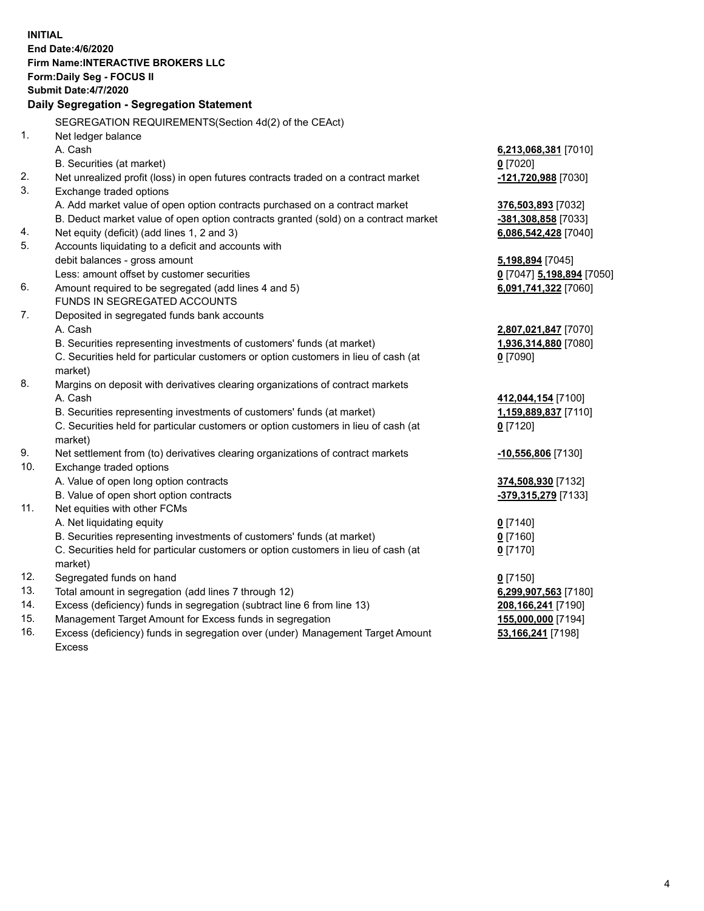**INITIAL End Date:4/6/2020 Firm Name:INTERACTIVE BROKERS LLC Form:Daily Seg - FOCUS II Submit Date:4/7/2020 Daily Segregation - Segregation Statement** SEGREGATION REQUIREMENTS(Section 4d(2) of the CEAct) 1. Net ledger balance A. Cash **6,213,068,381** [7010] B. Securities (at market) **0** [7020] 2. Net unrealized profit (loss) in open futures contracts traded on a contract market **-121,720,988** [7030] 3. Exchange traded options A. Add market value of open option contracts purchased on a contract market **376,503,893** [7032] B. Deduct market value of open option contracts granted (sold) on a contract market **-381,308,858** [7033] 4. Net equity (deficit) (add lines 1, 2 and 3) **6,086,542,428** [7040] 5. Accounts liquidating to a deficit and accounts with debit balances - gross amount **5,198,894** [7045] Less: amount offset by customer securities **0** [7047] **5,198,894** [7050] 6. Amount required to be segregated (add lines 4 and 5) **6,091,741,322** [7060] FUNDS IN SEGREGATED ACCOUNTS 7. Deposited in segregated funds bank accounts A. Cash **2,807,021,847** [7070] B. Securities representing investments of customers' funds (at market) **1,936,314,880** [7080] C. Securities held for particular customers or option customers in lieu of cash (at market) **0** [7090] 8. Margins on deposit with derivatives clearing organizations of contract markets A. Cash **412,044,154** [7100] B. Securities representing investments of customers' funds (at market) **1,159,889,837** [7110] C. Securities held for particular customers or option customers in lieu of cash (at market) **0** [7120] 9. Net settlement from (to) derivatives clearing organizations of contract markets **-10,556,806** [7130] 10. Exchange traded options A. Value of open long option contracts **374,508,930** [7132] B. Value of open short option contracts **-379,315,279** [7133] 11. Net equities with other FCMs A. Net liquidating equity **0** [7140] B. Securities representing investments of customers' funds (at market) **0** [7160] C. Securities held for particular customers or option customers in lieu of cash (at market) **0** [7170] 12. Segregated funds on hand **0** [7150] 13. Total amount in segregation (add lines 7 through 12) **6,299,907,563** [7180] 14. Excess (deficiency) funds in segregation (subtract line 6 from line 13) **208,166,241** [7190] 15. Management Target Amount for Excess funds in segregation **155,000,000** [7194] 16. Excess (deficiency) funds in segregation over (under) Management Target Amount **53,166,241** [7198]

Excess